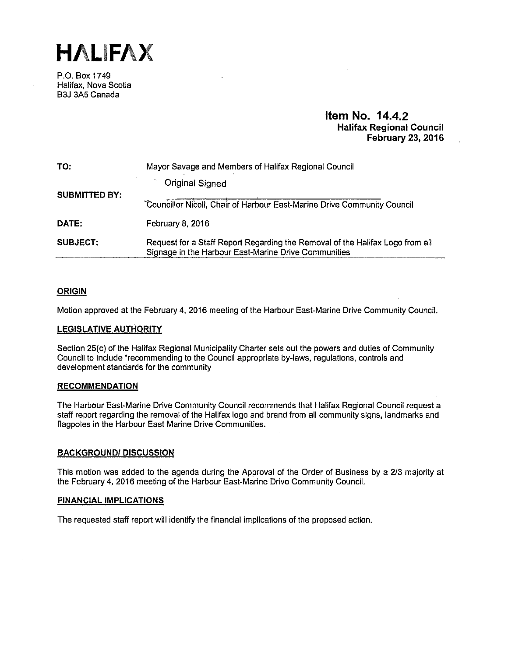**HALIFAX** 

P.O. Box 1749 Halifax, Nova Scotia B3J 3A5 Canada

# **Item No. 14.4.2 Halifax Regional Council February 23, 2016**

| TO:                  | Mayor Savage and Members of Halifax Regional Council                                                                                  |
|----------------------|---------------------------------------------------------------------------------------------------------------------------------------|
| <b>SUBMITTED BY:</b> | Original Signed                                                                                                                       |
|                      | Councillor Nicoll, Chair of Harbour East-Marine Drive Community Council                                                               |
| DATE:                | February 8, 2016                                                                                                                      |
| <b>SUBJECT:</b>      | Request for a Staff Report Regarding the Removal of the Halifax Logo from all<br>Signage in the Harbour East-Marine Drive Communities |

# **ORIGIN**

Motion approved at the February 4, 2016 meeting of the Harbour East-Marine Drive Community Council.

# **LEGISLATIVE AUTHORITY**

Section 25(c) of the Halifax Regional Municipality Charter sets out the powers and duties of Community Council to include "recommending to the Council appropriate by-laws, regulations, controls and development standards for the community

### **RECOMMENDATION**

The Harbour East-Marine Drive Community Council recommends that Halifax Regional Council request a staff report regarding the removal of the Halifax logo and brand from all community signs, landmarks and flagpoles in the Harbour East Marine Drive Communities.

# **BACKGROUND/ DISCUSSION**

This motion was added to the agenda during the Approval of the Order of Business by a 2/3 majority at the February 4, 2016 meeting of the Harbour East-Marine Drive Community Council.

### **FINANCIAL IMPLICATIONS**

The requested staff report will identify the financial implications of the proposed action.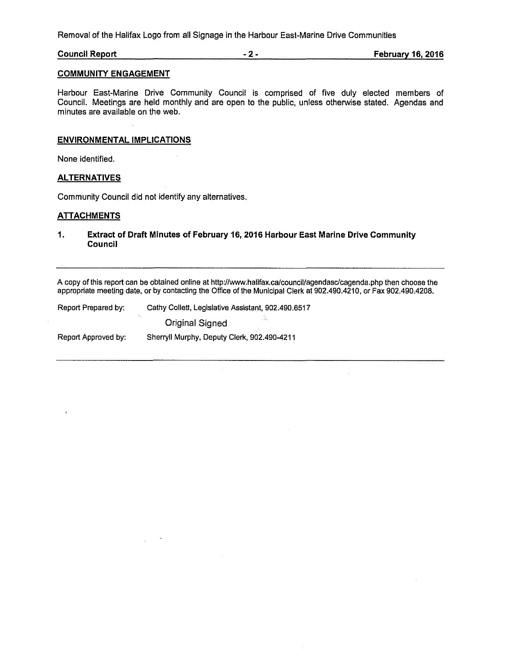Removal of the Halifax Logo from all Signage in the Harbour East-Marine Drive Communities

**Council Report** - **2** - **February 16, 2016** 

# **COMMUNITY ENGAGEMENT**

Harbour East-Marine Drive Community Council is comprised of five duly elected members of Council. Meetings are held monthly and are open to the public, unless otherwise stated. Agendas and minutes are available on the web.

# **ENVIRONMENTAL IMPLICATIONS**

None identified.

# **ALTERNATIVES**

Community Council did not identify any alternatives.

# **ATTACHMENTS**

 $\ddot{\phantom{a}}$ 

**1. Extract of Draft Minutes of February 16, 2016 Harbour East Marine Drive Community Council** 

A copy of this report can be obtained online at http://www.halifax.ca/council/agendasc/cagenda.php then choose the appropriate meeting date, or by contacting the Office of the Municipal Clerk at 902.490.4210, or Fax 902.490.4208.

| Report Prepared by: | Cathy Collett, Legislative Assistant, 902,490,6517 |
|---------------------|----------------------------------------------------|
|                     | بالأبادي<br>Original Signed                        |
| Report Approved by: | Sherryll Murphy, Deputy Clerk, 902.490-4211        |